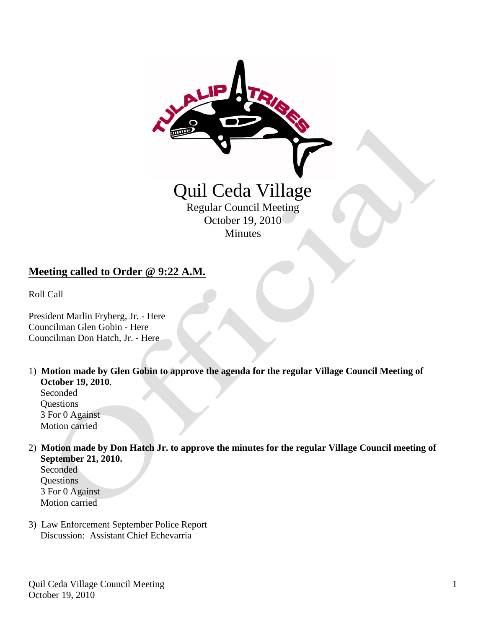

## **Meeting called to Order @ 9:22 A.M.**

Roll Call

President Marlin Fryberg, Jr. - Here Councilman Glen Gobin - Here Councilman Don Hatch, Jr. - Here

1) **Motion made by Glen Gobin to approve the agenda for the regular Village Council Meeting of October 19, 2010**. Seconded

**Ouestions**  3 For 0 Against Motion carried

2) **Motion made by Don Hatch Jr. to approve the minutes for the regular Village Council meeting of September 21, 2010.**

 Seconded Questions 3 For 0 Against Motion carried

3) Law Enforcement September Police Report Discussion: Assistant Chief Echevarria

Quil Ceda Village Council Meeting October 19, 2010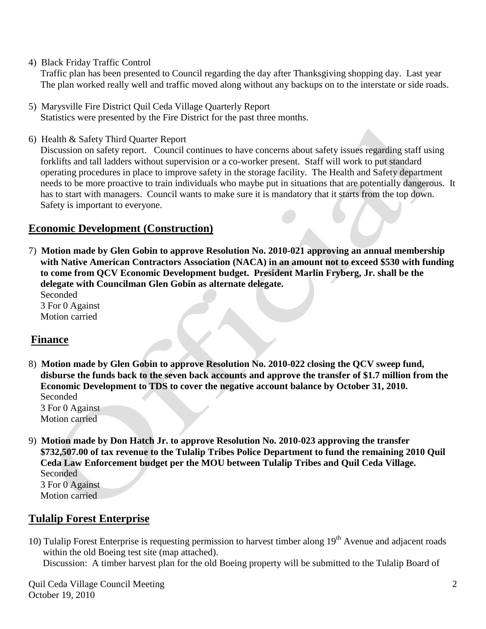4) Black Friday Traffic Control

Traffic plan has been presented to Council regarding the day after Thanksgiving shopping day. Last year The plan worked really well and traffic moved along without any backups on to the interstate or side roads.

- 5) Marysville Fire District Quil Ceda Village Quarterly Report Statistics were presented by the Fire District for the past three months.
- 6) Health & Safety Third Quarter Report

 Discussion on safety report. Council continues to have concerns about safety issues regarding staff using forklifts and tall ladders without supervision or a co-worker present. Staff will work to put standard operating procedures in place to improve safety in the storage facility. The Health and Safety department needs to be more proactive to train individuals who maybe put in situations that are potentially dangerous. It has to start with managers. Council wants to make sure it is mandatory that it starts from the top down. Safety is important to everyone.

## **Economic Development (Construction)**

7) **Motion made by Glen Gobin to approve Resolution No. 2010-021 approving an annual membership with Native American Contractors Association (NACA) in an amount not to exceed \$530 with funding to come from QCV Economic Development budget. President Marlin Fryberg, Jr. shall be the delegate with Councilman Glen Gobin as alternate delegate.**

 Seconded 3 For 0 Against Motion carried

# **Finance**

8) **Motion made by Glen Gobin to approve Resolution No. 2010-022 closing the QCV sweep fund, disburse the funds back to the seven back accounts and approve the transfer of \$1.7 million from the Economic Development to TDS to cover the negative account balance by October 31, 2010.** Seconded

 3 For 0 Against Motion carried

9) **Motion made by Don Hatch Jr. to approve Resolution No. 2010-023 approving the transfer \$732,507.00 of tax revenue to the Tulalip Tribes Police Department to fund the remaining 2010 Quil Ceda Law Enforcement budget per the MOU between Tulalip Tribes and Quil Ceda Village.** Seconded 3 For 0 Against

Motion carried

# **Tulalip Forest Enterprise**

10) Tulalip Forest Enterprise is requesting permission to harvest timber along 19<sup>th</sup> Avenue and adjacent roads within the old Boeing test site (map attached). Discussion: A timber harvest plan for the old Boeing property will be submitted to the Tulalip Board of

Quil Ceda Village Council Meeting October 19, 2010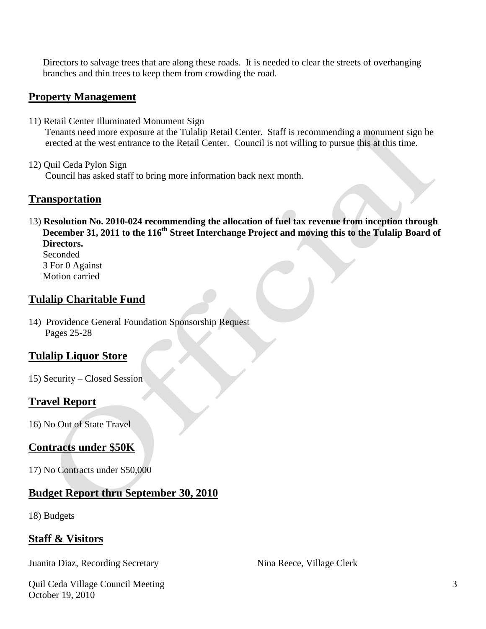Directors to salvage trees that are along these roads. It is needed to clear the streets of overhanging branches and thin trees to keep them from crowding the road.

## **Property Management**

- 11) Retail Center Illuminated Monument Sign Tenants need more exposure at the Tulalip Retail Center. Staff is recommending a monument sign be erected at the west entrance to the Retail Center. Council is not willing to pursue this at this time.
- 12) Quil Ceda Pylon Sign Council has asked staff to bring more information back next month.

## **Transportation**

13) **Resolution No. 2010-024 recommending the allocation of fuel tax revenue from inception through December 31, 2011 to the 116th Street Interchange Project and moving this to the Tulalip Board of Directors.**

Seconded 3 For 0 Against Motion carried

## **Tulalip Charitable Fund**

14) Providence General Foundation Sponsorship Request Pages 25-28

# **Tulalip Liquor Store**

15) Security – Closed Session

# **Travel Report**

16) No Out of State Travel

# **Contracts under \$50K**

17) No Contracts under \$50,000

## **Budget Report thru September 30, 2010**

18) Budgets

## **Staff & Visitors**

Juanita Diaz, Recording Secretary Nina Reece, Village Clerk

Quil Ceda Village Council Meeting October 19, 2010